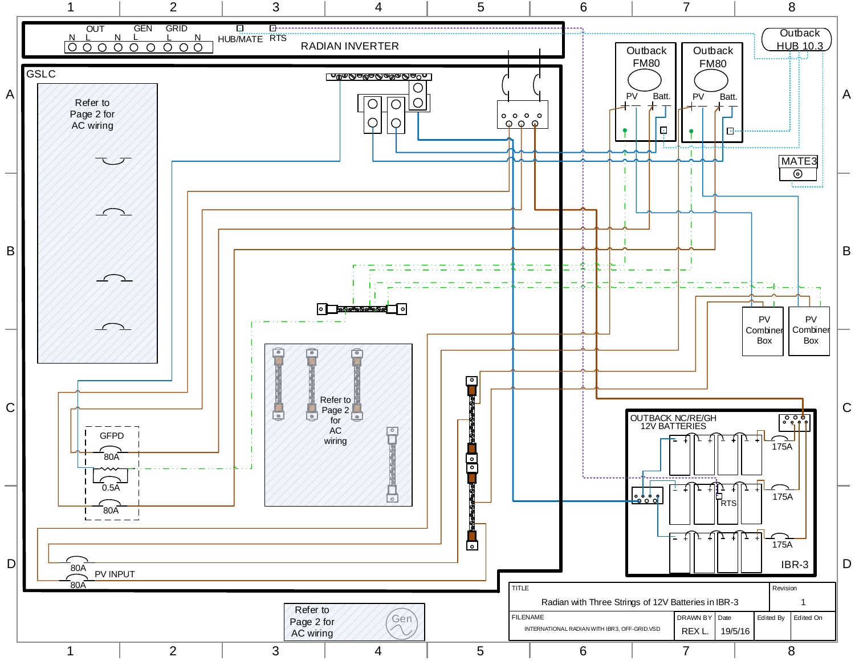